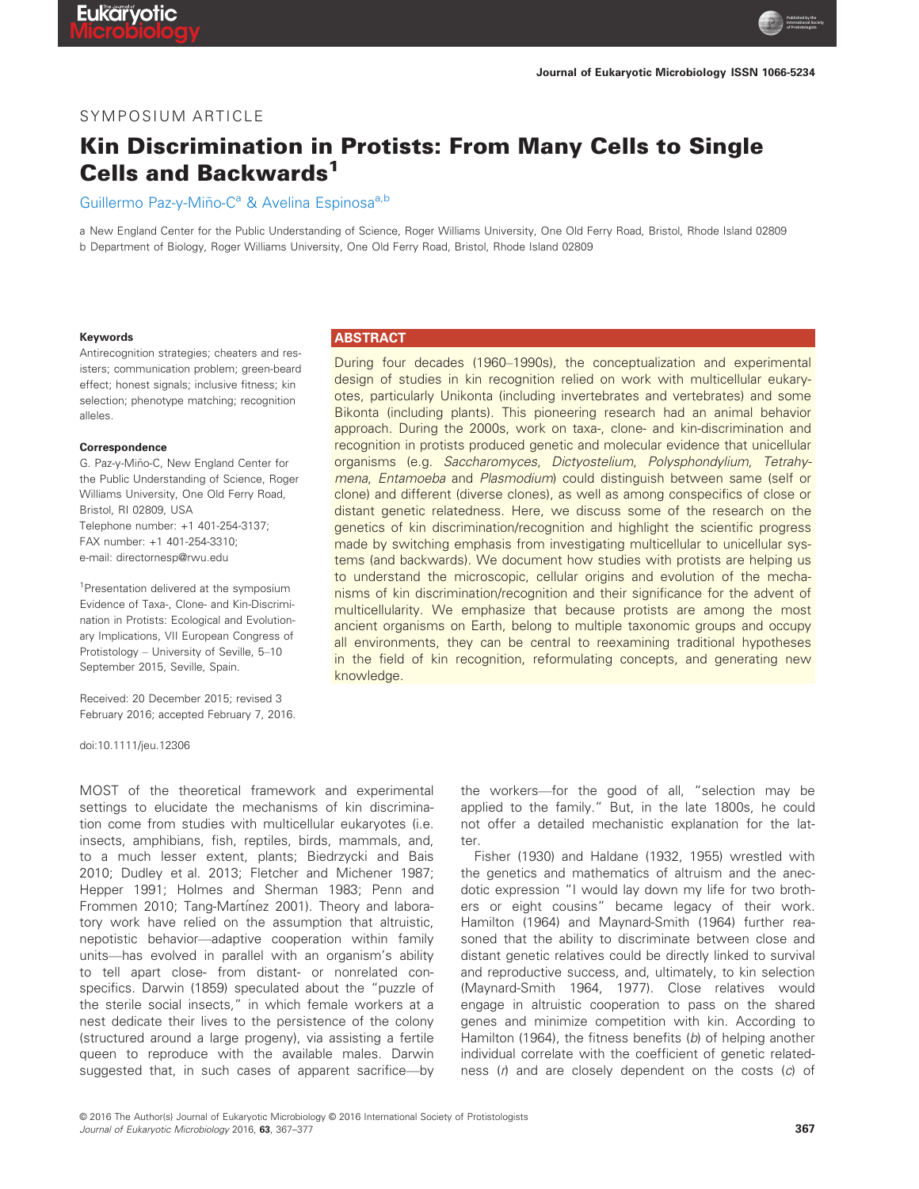**Published by the International Society of Protistologists**

## SYMPOSIUM ARTICLE

# Kin Discrimination in Protists: From Many Cells to Single Cells and Backwards<sup>1</sup>

Guillermo Paz-y-Miño-C<sup>a</sup> & Avelina Espinosa<sup>a,b</sup>

a New England Center for the Public Understanding of Science, Roger Williams University, One Old Ferry Road, Bristol, Rhode Island 02809 b Department of Biology, Roger Williams University, One Old Ferry Road, Bristol, Rhode Island 02809

#### Keywords

Antirecognition strategies; cheaters and resisters; communication problem; green-beard effect; honest signals; inclusive fitness; kin selection; phenotype matching; recognition alleles.

#### Correspondence

G. Paz-y-Miño-C, New England Center for the Public Understanding of Science, Roger Williams University, One Old Ferry Road, Bristol, RI 02809, USA Telephone number: +1 401-254-3137; FAX number: +1 401-254-3310; e-mail: directornesp@rwu.edu

<sup>1</sup>Presentation delivered at the symposium Evidence of Taxa-, Clone- and Kin-Discrimination in Protists: Ecological and Evolutionary Implications, VII European Congress of Protistology – University of Seville, 5–10 September 2015, Seville, Spain.

Received: 20 December 2015; revised 3 February 2016; accepted February 7, 2016.

doi:10.1111/jeu.12306

MOST of the theoretical framework and experimental settings to elucidate the mechanisms of kin discrimination come from studies with multicellular eukaryotes (i.e. insects, amphibians, fish, reptiles, birds, mammals, and, to a much lesser extent, plants; Biedrzycki and Bais 2010; Dudley et al. 2013; Fletcher and Michener 1987; Hepper 1991; Holmes and Sherman 1983; Penn and Frommen 2010; Tang-Martínez 2001). Theory and laboratory work have relied on the assumption that altruistic, nepotistic behavior—adaptive cooperation within family units—has evolved in parallel with an organism's ability to tell apart close- from distant- or nonrelated conspecifics. Darwin (1859) speculated about the "puzzle of the sterile social insects," in which female workers at a nest dedicate their lives to the persistence of the colony (structured around a large progeny), via assisting a fertile queen to reproduce with the available males. Darwin suggested that, in such cases of apparent sacrifice—by

#### **ABSTRACT**

During four decades (1960–1990s), the conceptualization and experimental design of studies in kin recognition relied on work with multicellular eukaryotes, particularly Unikonta (including invertebrates and vertebrates) and some Bikonta (including plants). This pioneering research had an animal behavior approach. During the 2000s, work on taxa-, clone- and kin-discrimination and recognition in protists produced genetic and molecular evidence that unicellular organisms (e.g. Saccharomyces, Dictyostelium, Polysphondylium, Tetrahymena, Entamoeba and Plasmodium) could distinguish between same (self or clone) and different (diverse clones), as well as among conspecifics of close or distant genetic relatedness. Here, we discuss some of the research on the genetics of kin discrimination/recognition and highlight the scientific progress made by switching emphasis from investigating multicellular to unicellular systems (and backwards). We document how studies with protists are helping us to understand the microscopic, cellular origins and evolution of the mechanisms of kin discrimination/recognition and their significance for the advent of multicellularity. We emphasize that because protists are among the most ancient organisms on Earth, belong to multiple taxonomic groups and occupy all environments, they can be central to reexamining traditional hypotheses in the field of kin recognition, reformulating concepts, and generating new knowledge.

> the workers—for the good of all, "selection may be applied to the family." But, in the late 1800s, he could not offer a detailed mechanistic explanation for the latter.

> Fisher (1930) and Haldane (1932, 1955) wrestled with the genetics and mathematics of altruism and the anecdotic expression "I would lay down my life for two brothers or eight cousins" became legacy of their work. Hamilton (1964) and Maynard-Smith (1964) further reasoned that the ability to discriminate between close and distant genetic relatives could be directly linked to survival and reproductive success, and, ultimately, to kin selection (Maynard-Smith 1964, 1977). Close relatives would engage in altruistic cooperation to pass on the shared genes and minimize competition with kin. According to Hamilton (1964), the fitness benefits (b) of helping another individual correlate with the coefficient of genetic relatedness  $(r)$  and are closely dependent on the costs  $(c)$  of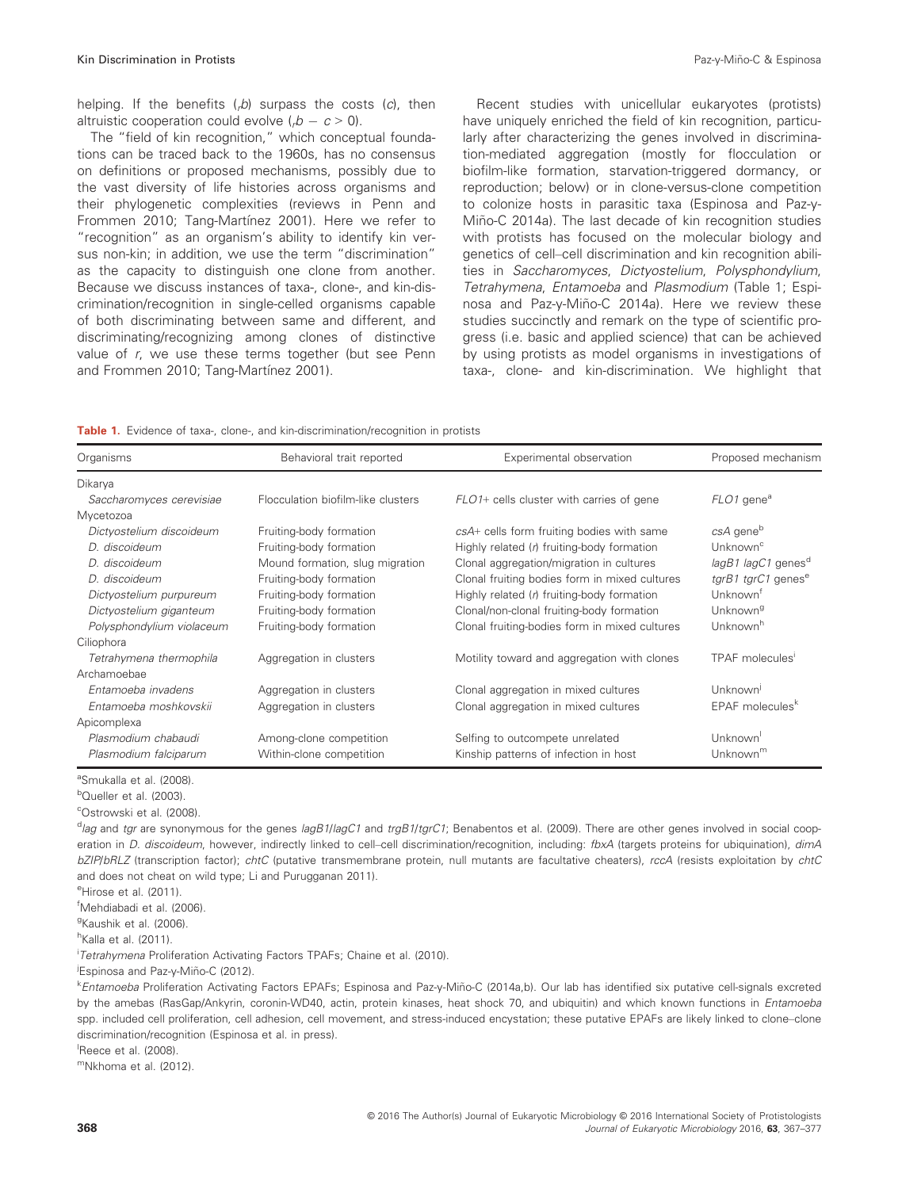helping. If the benefits  $(rb)$  surpass the costs  $(c)$ , then altruistic cooperation could evolve  $(0, b - c > 0)$ .

The "field of kin recognition," which conceptual foundations can be traced back to the 1960s, has no consensus on definitions or proposed mechanisms, possibly due to the vast diversity of life histories across organisms and their phylogenetic complexities (reviews in Penn and Frommen 2010; Tang-Martínez 2001). Here we refer to "recognition" as an organism's ability to identify kin versus non-kin; in addition, we use the term "discrimination" as the capacity to distinguish one clone from another. Because we discuss instances of taxa-, clone-, and kin-discrimination/recognition in single-celled organisms capable of both discriminating between same and different, and discriminating/recognizing among clones of distinctive value of r, we use these terms together (but see Penn and Frommen 2010; Tang-Martínez 2001).

Recent studies with unicellular eukaryotes (protists) have uniquely enriched the field of kin recognition, particularly after characterizing the genes involved in discrimination-mediated aggregation (mostly for flocculation or biofilm-like formation, starvation-triggered dormancy, or reproduction; below) or in clone-versus-clone competition to colonize hosts in parasitic taxa (Espinosa and Paz-y-Miño-C 2014a). The last decade of kin recognition studies with protists has focused on the molecular biology and genetics of cell–cell discrimination and kin recognition abilities in Saccharomyces, Dictyostelium, Polysphondylium, Tetrahymena, Entamoeba and Plasmodium (Table 1; Espinosa and Paz-y-Miño-C 2014a). Here we review these studies succinctly and remark on the type of scientific progress (i.e. basic and applied science) that can be achieved by using protists as model organisms in investigations of taxa-, clone- and kin-discrimination. We highlight that

|  |  | <b>Table 1.</b> Evidence of taxa-, clone-, and kin-discrimination/recognition in protists |  |  |  |  |  |  |  |  |  |  |
|--|--|-------------------------------------------------------------------------------------------|--|--|--|--|--|--|--|--|--|--|
|--|--|-------------------------------------------------------------------------------------------|--|--|--|--|--|--|--|--|--|--|

| Organisms                 | Behavioral trait reported          | Experimental observation                      | Proposed mechanism               |  |
|---------------------------|------------------------------------|-----------------------------------------------|----------------------------------|--|
| Dikarya                   |                                    |                                               |                                  |  |
| Saccharomyces cerevisiae  | Flocculation biofilm-like clusters | FLO1+ cells cluster with carries of gene      | FLO1 gene <sup>a</sup>           |  |
| Mycetozoa                 |                                    |                                               |                                  |  |
| Dictyostelium discoideum  | Fruiting-body formation            | csA+ cells form fruiting bodies with same     | csA gene <sup>b</sup>            |  |
| D. discoideum             | Fruiting-body formation            | Highly related (r) fruiting-body formation    | Unknown <sup>c</sup>             |  |
| D. discoideum             | Mound formation, slug migration    | Clonal aggregation/migration in cultures      | $lagB1$ lagC1 genes <sup>d</sup> |  |
| D. discoideum             | Fruiting-body formation            | Clonal fruiting bodies form in mixed cultures | tgrB1 tgrC1 genes <sup>e</sup>   |  |
| Dictyostelium purpureum   | Fruiting-body formation            | Highly related $(h)$ fruiting-body formation  | Unknown <sup>t</sup>             |  |
| Dictyostelium giganteum   | Fruiting-body formation            | Clonal/non-clonal fruiting-body formation     | Unknown <sup>g</sup>             |  |
| Polysphondylium violaceum | Fruiting-body formation            | Clonal fruiting-bodies form in mixed cultures | Unknown <sup>h</sup>             |  |
| Ciliophora                |                                    |                                               |                                  |  |
| Tetrahymena thermophila   | Aggregation in clusters            | Motility toward and aggregation with clones   | TPAF molecules'                  |  |
| Archamoebae               |                                    |                                               |                                  |  |
| Entamoeba invadens        | Aggregation in clusters            | Clonal aggregation in mixed cultures          | Unknown                          |  |
| Entamoeba moshkovskii     | Aggregation in clusters            | Clonal aggregation in mixed cultures          | EPAF molecules <sup>k</sup>      |  |
| Apicomplexa               |                                    |                                               |                                  |  |
| Plasmodium chabaudi       | Among-clone competition            | Selfing to outcompete unrelated               | Unknown <sup>1</sup>             |  |
| Plasmodium falciparum     | Within-clone competition           | Kinship patterns of infection in host         | Unknown $m$                      |  |

<sup>a</sup>Smukalla et al. (2008).

<sup>b</sup>Queller et al. (2003).

c Ostrowski et al. (2008).

eHirose et al. (2011).

f Mehdiabadi et al. (2006).

<sup>g</sup>Kaushik et al. (2006).

<sup>h</sup>Kalla et al. (2011).

<sup>i</sup>Tetrahymena Proliferation Activating Factors TPAFs; Chaine et al. (2010).

<sup>j</sup>Espinosa and Paz-y-Miño-C (2012).

k Entamoeba Proliferation Activating Factors EPAFs; Espinosa and Paz-y-Miño-C (2014a,b). Our lab has identified six putative cell-signals excreted by the amebas (RasGap/Ankyrin, coronin-WD40, actin, protein kinases, heat shock 70, and ubiquitin) and which known functions in *Entamoeba* spp. included cell proliferation, cell adhesion, cell movement, and stress-induced encystation; these putative EPAFs are likely linked to clone–clone discrimination/recognition (Espinosa et al. in press).

Reece et al. (2008).

mNkhoma et al. (2012).

<sup>&</sup>lt;sup>d</sup>lag and tgr are synonymous for the genes lagB1/lagC1 and trgB1/tgrC1; Benabentos et al. (2009). There are other genes involved in social cooperation in D. discoideum, however, indirectly linked to cell-cell discrimination/recognition, including: fbxA (targets proteins for ubiquination), dimA bZIP/bRLZ (transcription factor); chtC (putative transmembrane protein, null mutants are facultative cheaters), rccA (resists exploitation by chtC and does not cheat on wild type; Li and Purugganan 2011).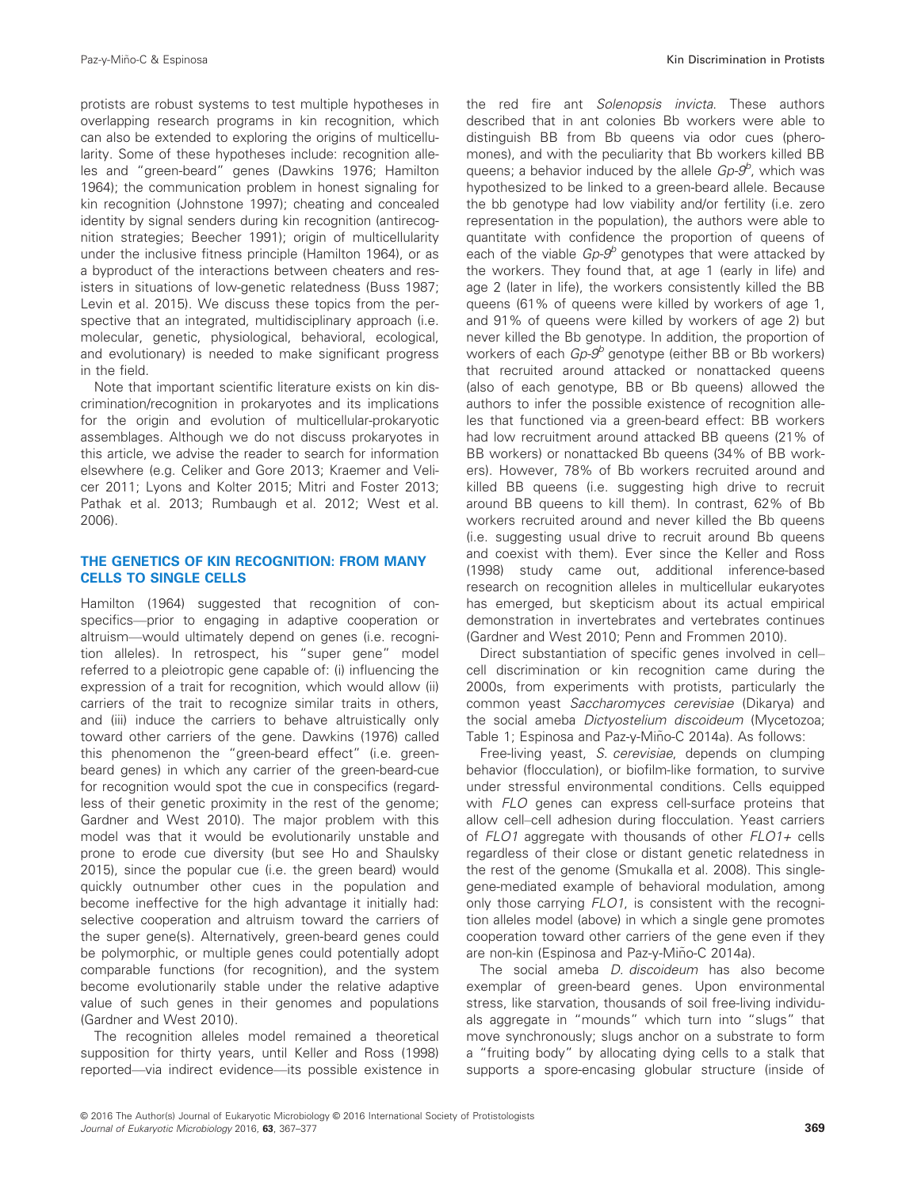protists are robust systems to test multiple hypotheses in overlapping research programs in kin recognition, which can also be extended to exploring the origins of multicellularity. Some of these hypotheses include: recognition alleles and "green-beard" genes (Dawkins 1976; Hamilton 1964); the communication problem in honest signaling for kin recognition (Johnstone 1997); cheating and concealed identity by signal senders during kin recognition (antirecognition strategies; Beecher 1991); origin of multicellularity under the inclusive fitness principle (Hamilton 1964), or as a byproduct of the interactions between cheaters and resisters in situations of low-genetic relatedness (Buss 1987; Levin et al. 2015). We discuss these topics from the perspective that an integrated, multidisciplinary approach (i.e. molecular, genetic, physiological, behavioral, ecological, and evolutionary) is needed to make significant progress in the field.

Note that important scientific literature exists on kin discrimination/recognition in prokaryotes and its implications for the origin and evolution of multicellular-prokaryotic assemblages. Although we do not discuss prokaryotes in this article, we advise the reader to search for information elsewhere (e.g. Celiker and Gore 2013; Kraemer and Velicer 2011; Lyons and Kolter 2015; Mitri and Foster 2013; Pathak et al. 2013; Rumbaugh et al. 2012; West et al. 2006).

#### THE GENETICS OF KIN RECOGNITION: FROM MANY CELLS TO SINGLE CELLS

Hamilton (1964) suggested that recognition of conspecifics—prior to engaging in adaptive cooperation or altruism—would ultimately depend on genes (i.e. recognition alleles). In retrospect, his "super gene" model referred to a pleiotropic gene capable of: (i) influencing the expression of a trait for recognition, which would allow (ii) carriers of the trait to recognize similar traits in others, and (iii) induce the carriers to behave altruistically only toward other carriers of the gene. Dawkins (1976) called this phenomenon the "green-beard effect" (i.e. greenbeard genes) in which any carrier of the green-beard-cue for recognition would spot the cue in conspecifics (regardless of their genetic proximity in the rest of the genome; Gardner and West 2010). The major problem with this model was that it would be evolutionarily unstable and prone to erode cue diversity (but see Ho and Shaulsky 2015), since the popular cue (i.e. the green beard) would quickly outnumber other cues in the population and become ineffective for the high advantage it initially had: selective cooperation and altruism toward the carriers of the super gene(s). Alternatively, green-beard genes could be polymorphic, or multiple genes could potentially adopt comparable functions (for recognition), and the system become evolutionarily stable under the relative adaptive value of such genes in their genomes and populations (Gardner and West 2010).

The recognition alleles model remained a theoretical supposition for thirty years, until Keller and Ross (1998) reported—via indirect evidence—its possible existence in the red fire ant Solenopsis invicta. These authors described that in ant colonies Bb workers were able to distinguish BB from Bb queens via odor cues (pheromones), and with the peculiarity that Bb workers killed BB queens; a behavior induced by the allele Gp-9<sup>b</sup>, which was hypothesized to be linked to a green-beard allele. Because the bb genotype had low viability and/or fertility (i.e. zero representation in the population), the authors were able to quantitate with confidence the proportion of queens of each of the viable  $Gp-9$ <sup>b</sup> genotypes that were attacked by the workers. They found that, at age 1 (early in life) and age 2 (later in life), the workers consistently killed the BB queens (61% of queens were killed by workers of age 1, and 91% of queens were killed by workers of age 2) but never killed the Bb genotype. In addition, the proportion of workers of each  $Go-9^b$  genotype (either BB or Bb workers) that recruited around attacked or nonattacked queens (also of each genotype, BB or Bb queens) allowed the authors to infer the possible existence of recognition alleles that functioned via a green-beard effect: BB workers had low recruitment around attacked BB queens (21% of BB workers) or nonattacked Bb queens (34% of BB workers). However, 78% of Bb workers recruited around and killed BB queens (i.e. suggesting high drive to recruit around BB queens to kill them). In contrast, 62% of Bb workers recruited around and never killed the Bb queens (i.e. suggesting usual drive to recruit around Bb queens and coexist with them). Ever since the Keller and Ross (1998) study came out, additional inference-based research on recognition alleles in multicellular eukaryotes has emerged, but skepticism about its actual empirical demonstration in invertebrates and vertebrates continues (Gardner and West 2010; Penn and Frommen 2010).

Direct substantiation of specific genes involved in cell– cell discrimination or kin recognition came during the 2000s, from experiments with protists, particularly the common yeast Saccharomyces cerevisiae (Dikarya) and the social ameba Dictyostelium discoideum (Mycetozoa; Table 1; Espinosa and Paz-y-Miño-C 2014a). As follows:

Free-living yeast, S. cerevisiae, depends on clumping behavior (flocculation), or biofilm-like formation, to survive under stressful environmental conditions. Cells equipped with FLO genes can express cell-surface proteins that allow cell–cell adhesion during flocculation. Yeast carriers of  $FLO1$  aggregate with thousands of other  $FLO1+$  cells regardless of their close or distant genetic relatedness in the rest of the genome (Smukalla et al. 2008). This singlegene-mediated example of behavioral modulation, among only those carrying FLO1, is consistent with the recognition alleles model (above) in which a single gene promotes cooperation toward other carriers of the gene even if they are non-kin (Espinosa and Paz-y-Miño-C 2014a).

The social ameba *D. discoideum* has also become exemplar of green-beard genes. Upon environmental stress, like starvation, thousands of soil free-living individuals aggregate in "mounds" which turn into "slugs" that move synchronously; slugs anchor on a substrate to form a "fruiting body" by allocating dying cells to a stalk that supports a spore-encasing globular structure (inside of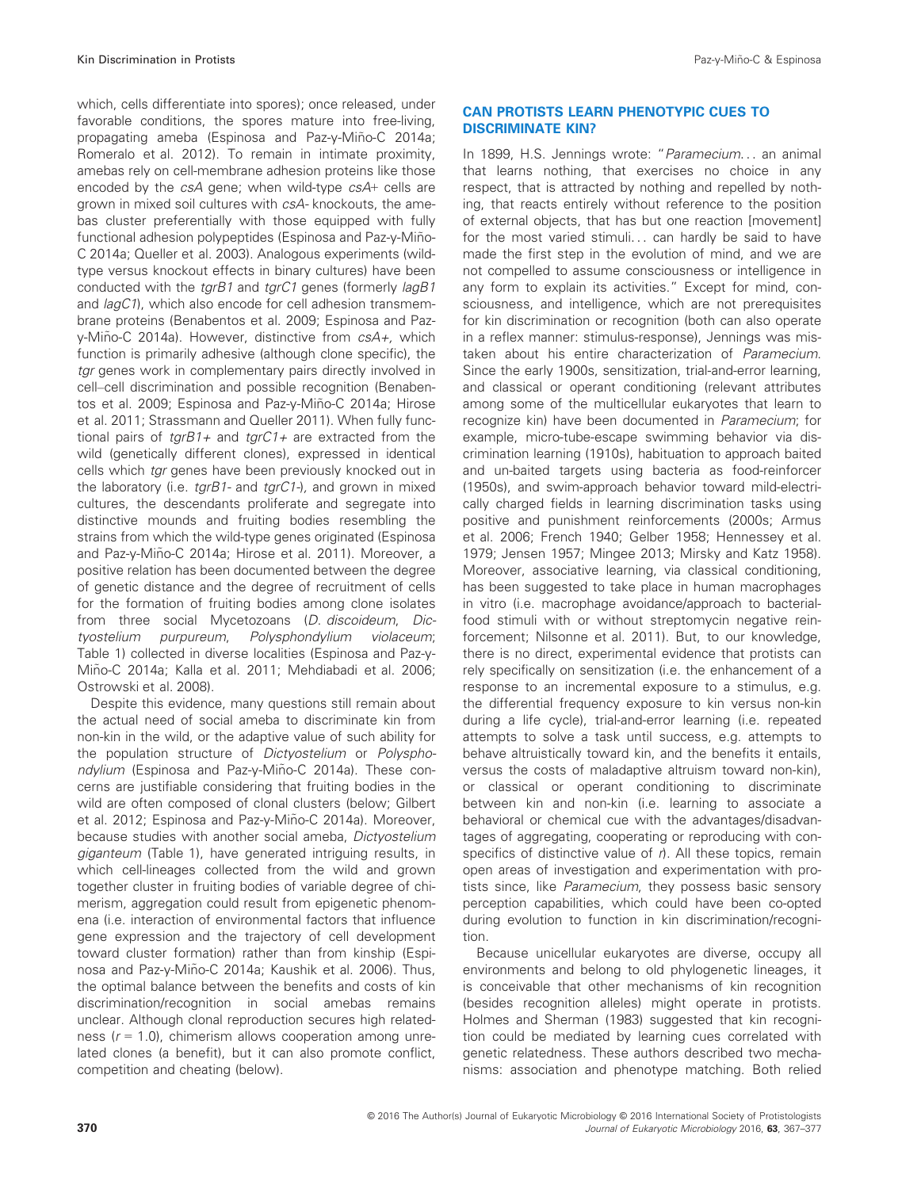which, cells differentiate into spores); once released, under favorable conditions, the spores mature into free-living, propagating ameba (Espinosa and Paz-y-Miño-C 2014a; Romeralo et al. 2012). To remain in intimate proximity, amebas rely on cell-membrane adhesion proteins like those encoded by the csA gene; when wild-type csA+ cells are grown in mixed soil cultures with csA- knockouts, the amebas cluster preferentially with those equipped with fully functional adhesion polypeptides (Espinosa and Paz-y-Miño-C 2014a; Queller et al. 2003). Analogous experiments (wildtype versus knockout effects in binary cultures) have been conducted with the tgrB1 and tgrC1 genes (formerly lagB1 and lagC1), which also encode for cell adhesion transmembrane proteins (Benabentos et al. 2009; Espinosa and Pazy-Miño-C 2014a). However, distinctive from  $csA+$ , which function is primarily adhesive (although clone specific), the tgr genes work in complementary pairs directly involved in cell–cell discrimination and possible recognition (Benabentos et al. 2009; Espinosa and Paz-y-Miño-C 2014a; Hirose et al. 2011; Strassmann and Queller 2011). When fully functional pairs of  $tgrB1+$  and  $tgrC1+$  are extracted from the wild (genetically different clones), expressed in identical cells which tgr genes have been previously knocked out in the laboratory (i.e.  $tgrB1$ - and  $tgrC1$ -), and grown in mixed cultures, the descendants proliferate and segregate into distinctive mounds and fruiting bodies resembling the strains from which the wild-type genes originated (Espinosa and Paz-y-Miño-C 2014a; Hirose et al. 2011). Moreover, a positive relation has been documented between the degree of genetic distance and the degree of recruitment of cells for the formation of fruiting bodies among clone isolates from three social Mycetozoans (D. discoideum, Dictyostelium purpureum, Polysphondylium violaceum; Table 1) collected in diverse localities (Espinosa and Paz-y-Mino-C 2014a; Kalla et al. 2011; Mehdiabadi et al. 2006; ~ Ostrowski et al. 2008).

Despite this evidence, many questions still remain about the actual need of social ameba to discriminate kin from non-kin in the wild, or the adaptive value of such ability for the population structure of Dictyostelium or Polysphondylium (Espinosa and Paz-y-Miño-C 2014a). These concerns are justifiable considering that fruiting bodies in the wild are often composed of clonal clusters (below; Gilbert et al. 2012; Espinosa and Paz-y-Miño-C 2014a). Moreover, because studies with another social ameba, Dictyostelium giganteum (Table 1), have generated intriguing results, in which cell-lineages collected from the wild and grown together cluster in fruiting bodies of variable degree of chimerism, aggregation could result from epigenetic phenomena (i.e. interaction of environmental factors that influence gene expression and the trajectory of cell development toward cluster formation) rather than from kinship (Espinosa and Paz-y-Miño-C 2014a; Kaushik et al. 2006). Thus, the optimal balance between the benefits and costs of kin discrimination/recognition in social amebas remains unclear. Although clonal reproduction secures high relatedness ( $r = 1.0$ ), chimerism allows cooperation among unrelated clones (a benefit), but it can also promote conflict, competition and cheating (below).

## CAN PROTISTS LEARN PHENOTYPIC CUES TO DISCRIMINATE KIN?

In 1899, H.S. Jennings wrote: "Paramecium... an animal that learns nothing, that exercises no choice in any respect, that is attracted by nothing and repelled by nothing, that reacts entirely without reference to the position of external objects, that has but one reaction [movement] for the most varied stimuli... can hardly be said to have made the first step in the evolution of mind, and we are not compelled to assume consciousness or intelligence in any form to explain its activities." Except for mind, consciousness, and intelligence, which are not prerequisites for kin discrimination or recognition (both can also operate in a reflex manner: stimulus-response), Jennings was mistaken about his entire characterization of Paramecium. Since the early 1900s, sensitization, trial-and-error learning, and classical or operant conditioning (relevant attributes among some of the multicellular eukaryotes that learn to recognize kin) have been documented in Paramecium; for example, micro-tube-escape swimming behavior via discrimination learning (1910s), habituation to approach baited and un-baited targets using bacteria as food-reinforcer (1950s), and swim-approach behavior toward mild-electrically charged fields in learning discrimination tasks using positive and punishment reinforcements (2000s; Armus et al. 2006; French 1940; Gelber 1958; Hennessey et al. 1979; Jensen 1957; Mingee 2013; Mirsky and Katz 1958). Moreover, associative learning, via classical conditioning, has been suggested to take place in human macrophages in vitro (i.e. macrophage avoidance/approach to bacterialfood stimuli with or without streptomycin negative reinforcement; Nilsonne et al. 2011). But, to our knowledge, there is no direct, experimental evidence that protists can rely specifically on sensitization (i.e. the enhancement of a response to an incremental exposure to a stimulus, e.g. the differential frequency exposure to kin versus non-kin during a life cycle), trial-and-error learning (i.e. repeated attempts to solve a task until success, e.g. attempts to behave altruistically toward kin, and the benefits it entails, versus the costs of maladaptive altruism toward non-kin), or classical or operant conditioning to discriminate between kin and non-kin (i.e. learning to associate a behavioral or chemical cue with the advantages/disadvantages of aggregating, cooperating or reproducing with conspecifics of distinctive value of  $r$ ). All these topics, remain open areas of investigation and experimentation with protists since, like Paramecium, they possess basic sensory perception capabilities, which could have been co-opted during evolution to function in kin discrimination/recognition.

Because unicellular eukaryotes are diverse, occupy all environments and belong to old phylogenetic lineages, it is conceivable that other mechanisms of kin recognition (besides recognition alleles) might operate in protists. Holmes and Sherman (1983) suggested that kin recognition could be mediated by learning cues correlated with genetic relatedness. These authors described two mechanisms: association and phenotype matching. Both relied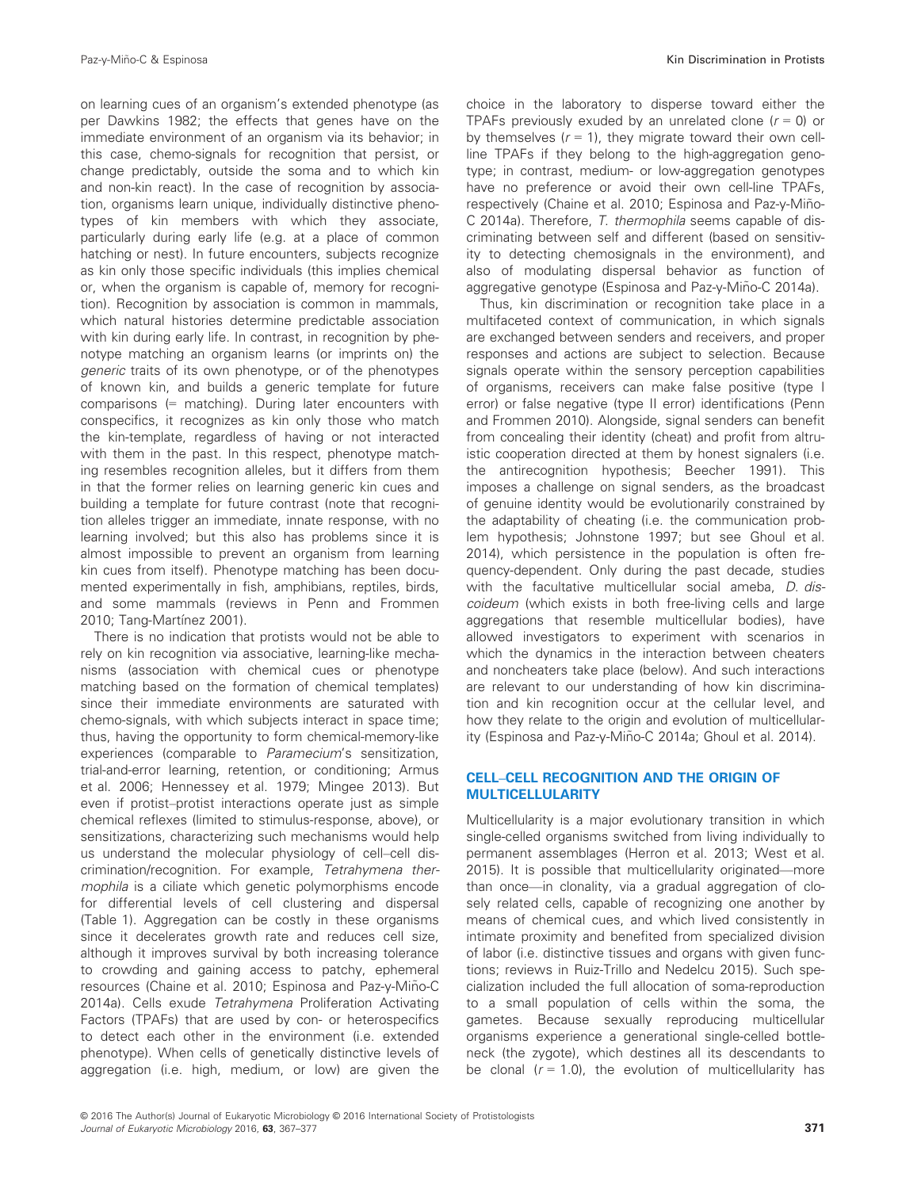on learning cues of an organism's extended phenotype (as per Dawkins 1982; the effects that genes have on the immediate environment of an organism via its behavior; in this case, chemo-signals for recognition that persist, or change predictably, outside the soma and to which kin and non-kin react). In the case of recognition by association, organisms learn unique, individually distinctive phenotypes of kin members with which they associate, particularly during early life (e.g. at a place of common hatching or nest). In future encounters, subjects recognize as kin only those specific individuals (this implies chemical or, when the organism is capable of, memory for recognition). Recognition by association is common in mammals, which natural histories determine predictable association with kin during early life. In contrast, in recognition by phenotype matching an organism learns (or imprints on) the generic traits of its own phenotype, or of the phenotypes of known kin, and builds a generic template for future comparisons (= matching). During later encounters with conspecifics, it recognizes as kin only those who match the kin-template, regardless of having or not interacted with them in the past. In this respect, phenotype matching resembles recognition alleles, but it differs from them in that the former relies on learning generic kin cues and building a template for future contrast (note that recognition alleles trigger an immediate, innate response, with no learning involved; but this also has problems since it is almost impossible to prevent an organism from learning kin cues from itself). Phenotype matching has been documented experimentally in fish, amphibians, reptiles, birds, and some mammals (reviews in Penn and Frommen 2010; Tang-Martínez 2001).

There is no indication that protists would not be able to rely on kin recognition via associative, learning-like mechanisms (association with chemical cues or phenotype matching based on the formation of chemical templates) since their immediate environments are saturated with chemo-signals, with which subjects interact in space time; thus, having the opportunity to form chemical-memory-like experiences (comparable to Paramecium's sensitization, trial-and-error learning, retention, or conditioning; Armus et al. 2006; Hennessey et al. 1979; Mingee 2013). But even if protist–protist interactions operate just as simple chemical reflexes (limited to stimulus-response, above), or sensitizations, characterizing such mechanisms would help us understand the molecular physiology of cell–cell discrimination/recognition. For example, Tetrahymena thermophila is a ciliate which genetic polymorphisms encode for differential levels of cell clustering and dispersal (Table 1). Aggregation can be costly in these organisms since it decelerates growth rate and reduces cell size, although it improves survival by both increasing tolerance to crowding and gaining access to patchy, ephemeral resources (Chaine et al. 2010; Espinosa and Paz-y-Miño-C 2014a). Cells exude Tetrahymena Proliferation Activating Factors (TPAFs) that are used by con- or heterospecifics to detect each other in the environment (i.e. extended phenotype). When cells of genetically distinctive levels of aggregation (i.e. high, medium, or low) are given the choice in the laboratory to disperse toward either the TPAFs previously exuded by an unrelated clone  $(r = 0)$  or by themselves  $(r = 1)$ , they migrate toward their own cellline TPAFs if they belong to the high-aggregation genotype; in contrast, medium- or low-aggregation genotypes have no preference or avoid their own cell-line TPAFs, respectively (Chaine et al. 2010; Espinosa and Paz-y-Miño-C 2014a). Therefore, T. thermophila seems capable of discriminating between self and different (based on sensitivity to detecting chemosignals in the environment), and also of modulating dispersal behavior as function of aggregative genotype (Espinosa and Paz-y-Miño-C 2014a).

Thus, kin discrimination or recognition take place in a multifaceted context of communication, in which signals are exchanged between senders and receivers, and proper responses and actions are subject to selection. Because signals operate within the sensory perception capabilities of organisms, receivers can make false positive (type I error) or false negative (type II error) identifications (Penn and Frommen 2010). Alongside, signal senders can benefit from concealing their identity (cheat) and profit from altruistic cooperation directed at them by honest signalers (i.e. the antirecognition hypothesis; Beecher 1991). This imposes a challenge on signal senders, as the broadcast of genuine identity would be evolutionarily constrained by the adaptability of cheating (i.e. the communication problem hypothesis; Johnstone 1997; but see Ghoul et al. 2014), which persistence in the population is often frequency-dependent. Only during the past decade, studies with the facultative multicellular social ameba, D. discoideum (which exists in both free-living cells and large aggregations that resemble multicellular bodies), have allowed investigators to experiment with scenarios in which the dynamics in the interaction between cheaters and noncheaters take place (below). And such interactions are relevant to our understanding of how kin discrimination and kin recognition occur at the cellular level, and how they relate to the origin and evolution of multicellularity (Espinosa and Paz-y-Miño-C 2014a; Ghoul et al. 2014).

#### CELL–CELL RECOGNITION AND THE ORIGIN OF MULTICELLULARITY

Multicellularity is a major evolutionary transition in which single-celled organisms switched from living individually to permanent assemblages (Herron et al. 2013; West et al. 2015). It is possible that multicellularity originated—more than once—in clonality, via a gradual aggregation of closely related cells, capable of recognizing one another by means of chemical cues, and which lived consistently in intimate proximity and benefited from specialized division of labor (i.e. distinctive tissues and organs with given functions; reviews in Ruiz-Trillo and Nedelcu 2015). Such specialization included the full allocation of soma-reproduction to a small population of cells within the soma, the gametes. Because sexually reproducing multicellular organisms experience a generational single-celled bottleneck (the zygote), which destines all its descendants to be clonal  $(r = 1.0)$ , the evolution of multicellularity has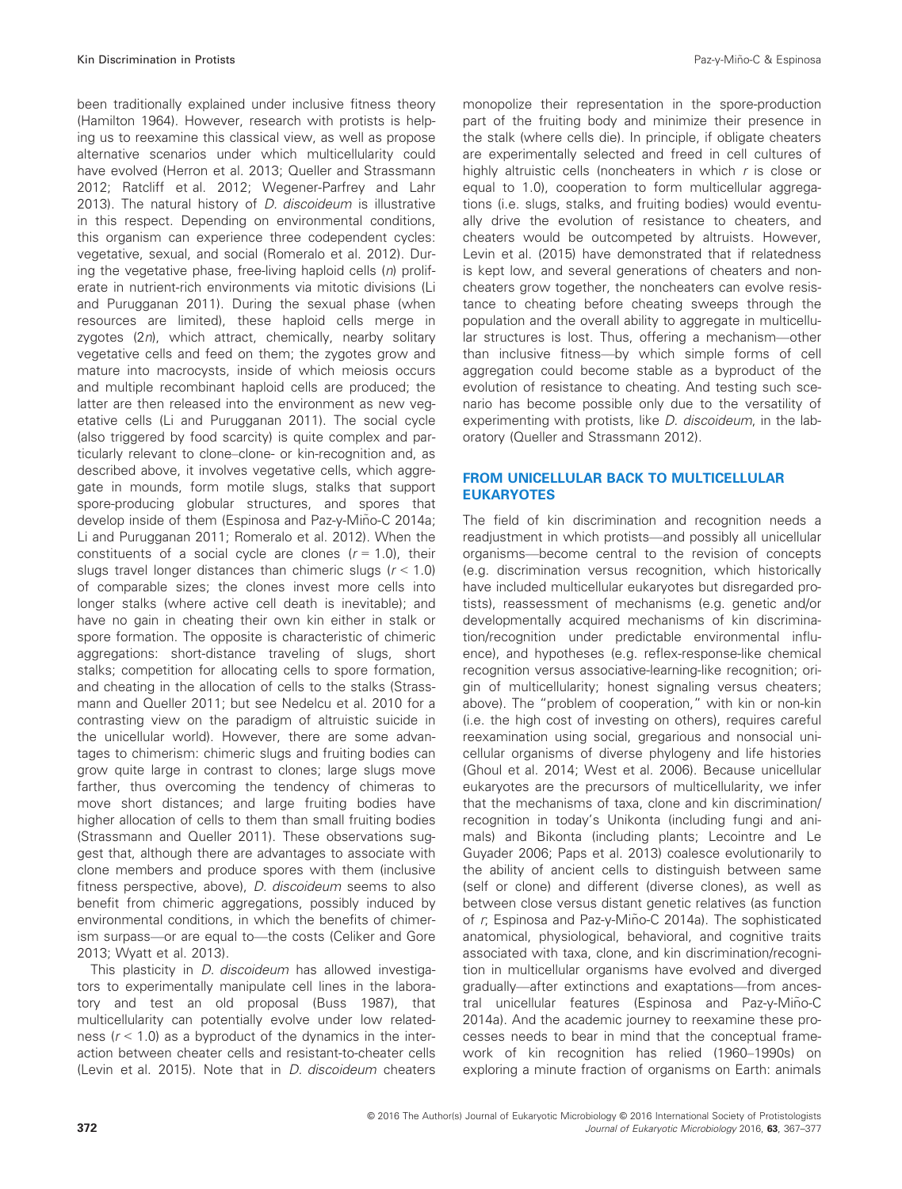been traditionally explained under inclusive fitness theory (Hamilton 1964). However, research with protists is helping us to reexamine this classical view, as well as propose alternative scenarios under which multicellularity could have evolved (Herron et al. 2013; Queller and Strassmann 2012; Ratcliff et al. 2012; Wegener-Parfrey and Lahr 2013). The natural history of D. discoideum is illustrative in this respect. Depending on environmental conditions, this organism can experience three codependent cycles: vegetative, sexual, and social (Romeralo et al. 2012). During the vegetative phase, free-living haploid cells  $(n)$  proliferate in nutrient-rich environments via mitotic divisions (Li and Purugganan 2011). During the sexual phase (when resources are limited), these haploid cells merge in zygotes (2n), which attract, chemically, nearby solitary vegetative cells and feed on them; the zygotes grow and mature into macrocysts, inside of which meiosis occurs and multiple recombinant haploid cells are produced; the latter are then released into the environment as new vegetative cells (Li and Purugganan 2011). The social cycle (also triggered by food scarcity) is quite complex and particularly relevant to clone–clone- or kin-recognition and, as described above, it involves vegetative cells, which aggregate in mounds, form motile slugs, stalks that support spore-producing globular structures, and spores that develop inside of them (Espinosa and Paz-y-Miño-C 2014a; Li and Purugganan 2011; Romeralo et al. 2012). When the constituents of a social cycle are clones  $(r = 1.0)$ , their slugs travel longer distances than chimeric slugs ( $r < 1.0$ ) of comparable sizes; the clones invest more cells into longer stalks (where active cell death is inevitable); and have no gain in cheating their own kin either in stalk or spore formation. The opposite is characteristic of chimeric aggregations: short-distance traveling of slugs, short stalks; competition for allocating cells to spore formation, and cheating in the allocation of cells to the stalks (Strassmann and Queller 2011; but see Nedelcu et al. 2010 for a contrasting view on the paradigm of altruistic suicide in the unicellular world). However, there are some advantages to chimerism: chimeric slugs and fruiting bodies can grow quite large in contrast to clones; large slugs move farther, thus overcoming the tendency of chimeras to move short distances; and large fruiting bodies have higher allocation of cells to them than small fruiting bodies (Strassmann and Queller 2011). These observations suggest that, although there are advantages to associate with clone members and produce spores with them (inclusive fitness perspective, above), D. discoideum seems to also benefit from chimeric aggregations, possibly induced by environmental conditions, in which the benefits of chimerism surpass—or are equal to—the costs (Celiker and Gore 2013; Wyatt et al. 2013).

This plasticity in *D. discoideum* has allowed investigators to experimentally manipulate cell lines in the laboratory and test an old proposal (Buss 1987), that multicellularity can potentially evolve under low relatedness  $(r < 1.0)$  as a byproduct of the dynamics in the interaction between cheater cells and resistant-to-cheater cells (Levin et al. 2015). Note that in *D. discoideum* cheaters monopolize their representation in the spore-production part of the fruiting body and minimize their presence in the stalk (where cells die). In principle, if obligate cheaters are experimentally selected and freed in cell cultures of highly altruistic cells (noncheaters in which r is close or equal to 1.0), cooperation to form multicellular aggregations (i.e. slugs, stalks, and fruiting bodies) would eventually drive the evolution of resistance to cheaters, and cheaters would be outcompeted by altruists. However, Levin et al. (2015) have demonstrated that if relatedness is kept low, and several generations of cheaters and noncheaters grow together, the noncheaters can evolve resistance to cheating before cheating sweeps through the population and the overall ability to aggregate in multicellular structures is lost. Thus, offering a mechanism—other than inclusive fitness—by which simple forms of cell aggregation could become stable as a byproduct of the evolution of resistance to cheating. And testing such scenario has become possible only due to the versatility of experimenting with protists, like *D. discoideum*, in the laboratory (Queller and Strassmann 2012).

#### FROM UNICELLULAR BACK TO MULTICELLULAR EUKARYOTES

The field of kin discrimination and recognition needs a readjustment in which protists—and possibly all unicellular organisms—become central to the revision of concepts (e.g. discrimination versus recognition, which historically have included multicellular eukaryotes but disregarded protists), reassessment of mechanisms (e.g. genetic and/or developmentally acquired mechanisms of kin discrimination/recognition under predictable environmental influence), and hypotheses (e.g. reflex-response-like chemical recognition versus associative-learning-like recognition; origin of multicellularity; honest signaling versus cheaters; above). The "problem of cooperation," with kin or non-kin (i.e. the high cost of investing on others), requires careful reexamination using social, gregarious and nonsocial unicellular organisms of diverse phylogeny and life histories (Ghoul et al. 2014; West et al. 2006). Because unicellular eukaryotes are the precursors of multicellularity, we infer that the mechanisms of taxa, clone and kin discrimination/ recognition in today's Unikonta (including fungi and animals) and Bikonta (including plants; Lecointre and Le Guyader 2006; Paps et al. 2013) coalesce evolutionarily to the ability of ancient cells to distinguish between same (self or clone) and different (diverse clones), as well as between close versus distant genetic relatives (as function of  $r$ , Espinosa and Paz-y-Miño-C 2014a). The sophisticated anatomical, physiological, behavioral, and cognitive traits associated with taxa, clone, and kin discrimination/recognition in multicellular organisms have evolved and diverged gradually—after extinctions and exaptations—from ancestral unicellular features (Espinosa and Paz-y-Miño-C 2014a). And the academic journey to reexamine these processes needs to bear in mind that the conceptual framework of kin recognition has relied (1960–1990s) on exploring a minute fraction of organisms on Earth: animals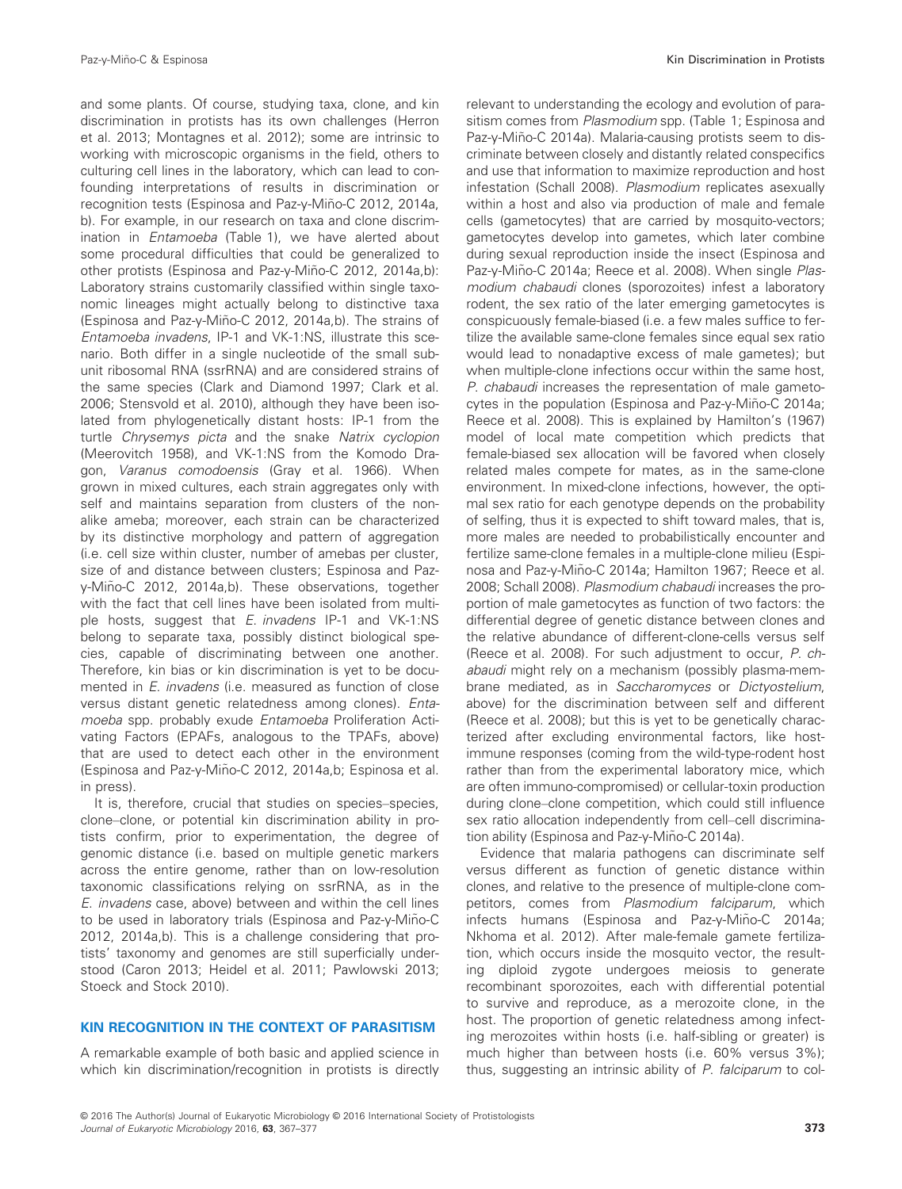and some plants. Of course, studying taxa, clone, and kin discrimination in protists has its own challenges (Herron et al. 2013; Montagnes et al. 2012); some are intrinsic to working with microscopic organisms in the field, others to culturing cell lines in the laboratory, which can lead to confounding interpretations of results in discrimination or recognition tests (Espinosa and Paz-y-Miño-C 2012, 2014a, b). For example, in our research on taxa and clone discrimination in Entamoeba (Table 1), we have alerted about some procedural difficulties that could be generalized to other protists (Espinosa and Paz-y-Miño-C 2012, 2014a,b): Laboratory strains customarily classified within single taxonomic lineages might actually belong to distinctive taxa (Espinosa and Paz-y-Miño-C 2012, 2014a,b). The strains of Entamoeba invadens, IP-1 and VK-1:NS, illustrate this scenario. Both differ in a single nucleotide of the small subunit ribosomal RNA (ssrRNA) and are considered strains of the same species (Clark and Diamond 1997; Clark et al. 2006; Stensvold et al. 2010), although they have been isolated from phylogenetically distant hosts: IP-1 from the turtle Chrysemys picta and the snake Natrix cyclopion (Meerovitch 1958), and VK-1:NS from the Komodo Dragon, Varanus comodoensis (Gray et al. 1966). When grown in mixed cultures, each strain aggregates only with self and maintains separation from clusters of the nonalike ameba; moreover, each strain can be characterized by its distinctive morphology and pattern of aggregation (i.e. cell size within cluster, number of amebas per cluster, size of and distance between clusters; Espinosa and Pazy-Miño-C 2012, 2014a,b). These observations, together with the fact that cell lines have been isolated from multiple hosts, suggest that E. invadens IP-1 and VK-1:NS belong to separate taxa, possibly distinct biological species, capable of discriminating between one another. Therefore, kin bias or kin discrimination is yet to be documented in E. invadens (i.e. measured as function of close versus distant genetic relatedness among clones). Entamoeba spp. probably exude Entamoeba Proliferation Activating Factors (EPAFs, analogous to the TPAFs, above) that are used to detect each other in the environment (Espinosa and Paz-y-Miño-C 2012, 2014a,b; Espinosa et al. in press).

It is, therefore, crucial that studies on species–species, clone–clone, or potential kin discrimination ability in protists confirm, prior to experimentation, the degree of genomic distance (i.e. based on multiple genetic markers across the entire genome, rather than on low-resolution taxonomic classifications relying on ssrRNA, as in the E. invadens case, above) between and within the cell lines to be used in laboratory trials (Espinosa and Paz-y-Miño-C 2012, 2014a,b). This is a challenge considering that protists' taxonomy and genomes are still superficially understood (Caron 2013; Heidel et al. 2011; Pawlowski 2013; Stoeck and Stock 2010).

### KIN RECOGNITION IN THE CONTEXT OF PARASITISM

A remarkable example of both basic and applied science in which kin discrimination/recognition in protists is directly relevant to understanding the ecology and evolution of parasitism comes from Plasmodium spp. (Table 1; Espinosa and Paz-y-Miño-C 2014a). Malaria-causing protists seem to discriminate between closely and distantly related conspecifics and use that information to maximize reproduction and host infestation (Schall 2008). Plasmodium replicates asexually within a host and also via production of male and female cells (gametocytes) that are carried by mosquito-vectors; gametocytes develop into gametes, which later combine during sexual reproduction inside the insect (Espinosa and Paz-y-Miño-C 2014a; Reece et al. 2008). When single Plasmodium chabaudi clones (sporozoites) infest a laboratory rodent, the sex ratio of the later emerging gametocytes is conspicuously female-biased (i.e. a few males suffice to fertilize the available same-clone females since equal sex ratio would lead to nonadaptive excess of male gametes); but when multiple-clone infections occur within the same host, P. chabaudi increases the representation of male gametocytes in the population (Espinosa and Paz-y-Miño-C 2014a; Reece et al. 2008). This is explained by Hamilton's (1967) model of local mate competition which predicts that female-biased sex allocation will be favored when closely related males compete for mates, as in the same-clone environment. In mixed-clone infections, however, the optimal sex ratio for each genotype depends on the probability of selfing, thus it is expected to shift toward males, that is, more males are needed to probabilistically encounter and fertilize same-clone females in a multiple-clone milieu (Espinosa and Paz-y-Miño-C 2014a; Hamilton 1967; Reece et al. 2008; Schall 2008). Plasmodium chabaudi increases the proportion of male gametocytes as function of two factors: the differential degree of genetic distance between clones and the relative abundance of different-clone-cells versus self (Reece et al. 2008). For such adjustment to occur, P. chabaudi might rely on a mechanism (possibly plasma-membrane mediated, as in Saccharomyces or Dictyostelium, above) for the discrimination between self and different (Reece et al. 2008); but this is yet to be genetically characterized after excluding environmental factors, like hostimmune responses (coming from the wild-type-rodent host rather than from the experimental laboratory mice, which are often immuno-compromised) or cellular-toxin production during clone–clone competition, which could still influence sex ratio allocation independently from cell–cell discrimination ability (Espinosa and Paz-y-Miño-C 2014a).

Evidence that malaria pathogens can discriminate self versus different as function of genetic distance within clones, and relative to the presence of multiple-clone competitors, comes from Plasmodium falciparum, which infects humans (Espinosa and Paz-y-Miño-C 2014a; Nkhoma et al. 2012). After male-female gamete fertilization, which occurs inside the mosquito vector, the resulting diploid zygote undergoes meiosis to generate recombinant sporozoites, each with differential potential to survive and reproduce, as a merozoite clone, in the host. The proportion of genetic relatedness among infecting merozoites within hosts (i.e. half-sibling or greater) is much higher than between hosts (i.e. 60% versus 3%); thus, suggesting an intrinsic ability of P. falciparum to col-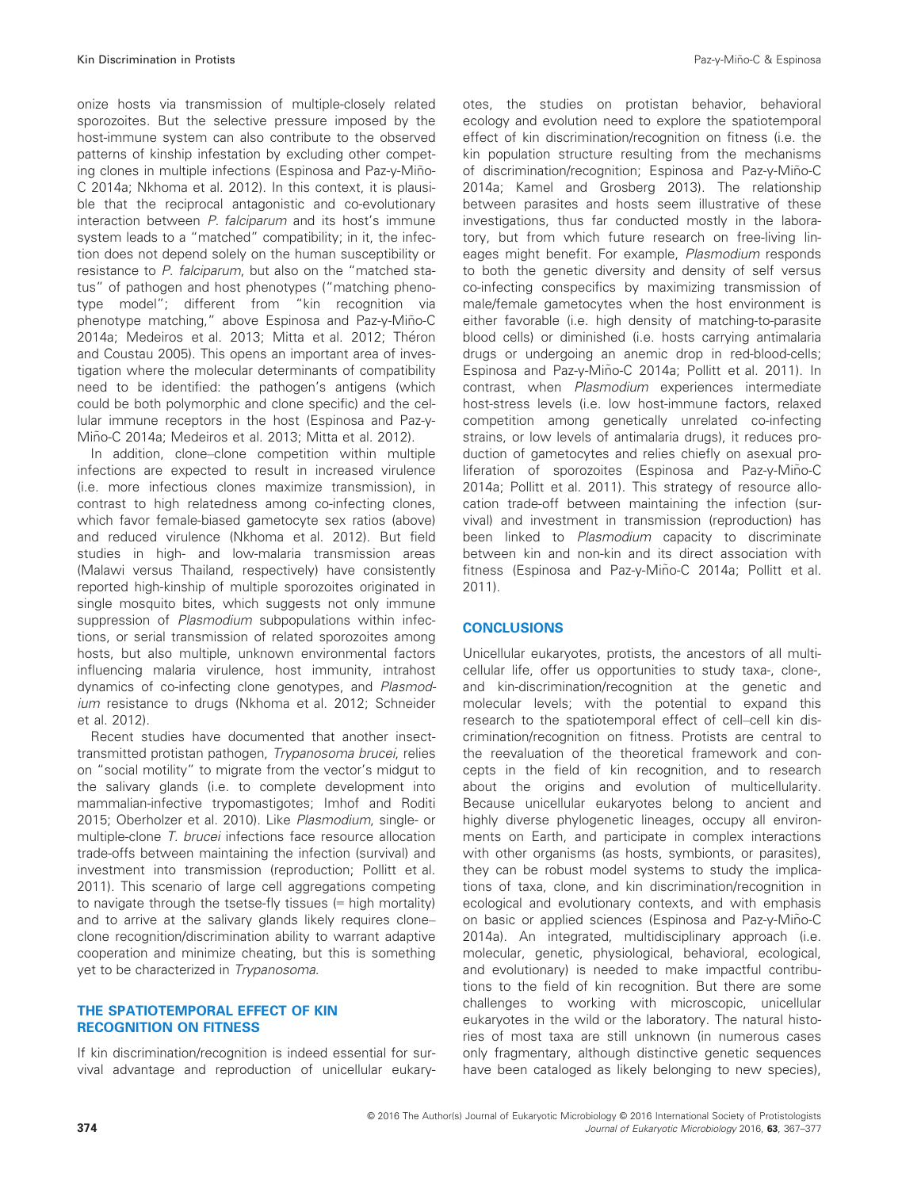onize hosts via transmission of multiple-closely related sporozoites. But the selective pressure imposed by the host-immune system can also contribute to the observed patterns of kinship infestation by excluding other competing clones in multiple infections (Espinosa and Paz-y-Miño-C 2014a; Nkhoma et al. 2012). In this context, it is plausible that the reciprocal antagonistic and co-evolutionary interaction between P. falciparum and its host's immune system leads to a "matched" compatibility; in it, the infection does not depend solely on the human susceptibility or resistance to P. falciparum, but also on the "matched status" of pathogen and host phenotypes ("matching phenotype model"; different from "kin recognition via phenotype matching," above Espinosa and Paz-y-Miño-C 2014a; Medeiros et al. 2013; Mitta et al. 2012; Théron and Coustau 2005). This opens an important area of investigation where the molecular determinants of compatibility need to be identified: the pathogen's antigens (which could be both polymorphic and clone specific) and the cellular immune receptors in the host (Espinosa and Paz-y-Mino-C 2014a; Medeiros et al. 2013; Mitta et al. 2012). ~

In addition, clone–clone competition within multiple infections are expected to result in increased virulence (i.e. more infectious clones maximize transmission), in contrast to high relatedness among co-infecting clones, which favor female-biased gametocyte sex ratios (above) and reduced virulence (Nkhoma et al. 2012). But field studies in high- and low-malaria transmission areas (Malawi versus Thailand, respectively) have consistently reported high-kinship of multiple sporozoites originated in single mosquito bites, which suggests not only immune suppression of Plasmodium subpopulations within infections, or serial transmission of related sporozoites among hosts, but also multiple, unknown environmental factors influencing malaria virulence, host immunity, intrahost dynamics of co-infecting clone genotypes, and Plasmodium resistance to drugs (Nkhoma et al. 2012; Schneider et al. 2012).

Recent studies have documented that another insecttransmitted protistan pathogen, Trypanosoma brucei, relies on "social motility" to migrate from the vector's midgut to the salivary glands (i.e. to complete development into mammalian-infective trypomastigotes; Imhof and Roditi 2015; Oberholzer et al. 2010). Like Plasmodium, single- or multiple-clone T. brucei infections face resource allocation trade-offs between maintaining the infection (survival) and investment into transmission (reproduction; Pollitt et al. 2011). This scenario of large cell aggregations competing to navigate through the tsetse-fly tissues (= high mortality) and to arrive at the salivary glands likely requires clone– clone recognition/discrimination ability to warrant adaptive cooperation and minimize cheating, but this is something yet to be characterized in Trypanosoma.

#### THE SPATIOTEMPORAL EFFECT OF KIN RECOGNITION ON FITNESS

If kin discrimination/recognition is indeed essential for survival advantage and reproduction of unicellular eukaryotes, the studies on protistan behavior, behavioral ecology and evolution need to explore the spatiotemporal effect of kin discrimination/recognition on fitness (i.e. the kin population structure resulting from the mechanisms of discrimination/recognition: Espinosa and Paz-y-Miño-C 2014a; Kamel and Grosberg 2013). The relationship between parasites and hosts seem illustrative of these investigations, thus far conducted mostly in the laboratory, but from which future research on free-living lineages might benefit. For example, Plasmodium responds to both the genetic diversity and density of self versus co-infecting conspecifics by maximizing transmission of male/female gametocytes when the host environment is either favorable (i.e. high density of matching-to-parasite blood cells) or diminished (i.e. hosts carrying antimalaria drugs or undergoing an anemic drop in red-blood-cells; Espinosa and Paz-y-Miño-C 2014a; Pollitt et al. 2011). In contrast, when Plasmodium experiences intermediate host-stress levels (i.e. low host-immune factors, relaxed competition among genetically unrelated co-infecting strains, or low levels of antimalaria drugs), it reduces production of gametocytes and relies chiefly on asexual proliferation of sporozoites (Espinosa and Paz-y-Miño-C 2014a; Pollitt et al. 2011). This strategy of resource allocation trade-off between maintaining the infection (survival) and investment in transmission (reproduction) has been linked to Plasmodium capacity to discriminate between kin and non-kin and its direct association with fitness (Espinosa and Paz-y-Miño-C 2014a; Pollitt et al. 2011).

#### **CONCLUSIONS**

Unicellular eukaryotes, protists, the ancestors of all multicellular life, offer us opportunities to study taxa-, clone-, and kin-discrimination/recognition at the genetic and molecular levels; with the potential to expand this research to the spatiotemporal effect of cell–cell kin discrimination/recognition on fitness. Protists are central to the reevaluation of the theoretical framework and concepts in the field of kin recognition, and to research about the origins and evolution of multicellularity. Because unicellular eukaryotes belong to ancient and highly diverse phylogenetic lineages, occupy all environments on Earth, and participate in complex interactions with other organisms (as hosts, symbionts, or parasites), they can be robust model systems to study the implications of taxa, clone, and kin discrimination/recognition in ecological and evolutionary contexts, and with emphasis on basic or applied sciences (Espinosa and Paz-y-Miño-C 2014a). An integrated, multidisciplinary approach (i.e. molecular, genetic, physiological, behavioral, ecological, and evolutionary) is needed to make impactful contributions to the field of kin recognition. But there are some challenges to working with microscopic, unicellular eukaryotes in the wild or the laboratory. The natural histories of most taxa are still unknown (in numerous cases only fragmentary, although distinctive genetic sequences have been cataloged as likely belonging to new species),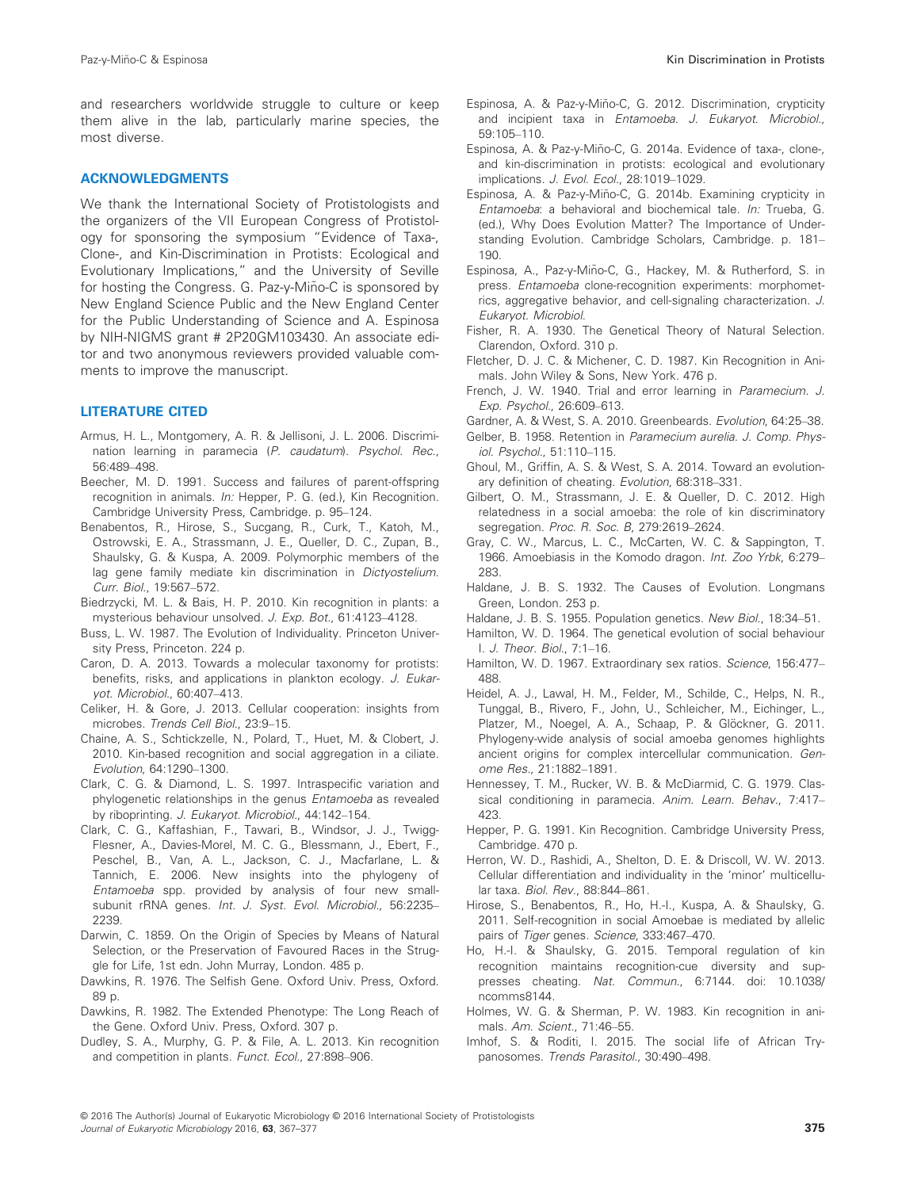and researchers worldwide struggle to culture or keep them alive in the lab, particularly marine species, the most diverse.

#### ACKNOWLEDGMENTS

We thank the International Society of Protistologists and the organizers of the VII European Congress of Protistology for sponsoring the symposium "Evidence of Taxa-, Clone-, and Kin-Discrimination in Protists: Ecological and Evolutionary Implications," and the University of Seville for hosting the Congress. G. Paz-y-Miño-C is sponsored by New England Science Public and the New England Center for the Public Understanding of Science and A. Espinosa by NIH-NIGMS grant # 2P20GM103430. An associate editor and two anonymous reviewers provided valuable comments to improve the manuscript.

#### LITERATURE CITED

- Armus, H. L., Montgomery, A. R. & Jellisoni, J. L. 2006. Discrimination learning in paramecia (P. caudatum). Psychol. Rec., 56:489–498.
- Beecher, M. D. 1991. Success and failures of parent-offspring recognition in animals. In: Hepper, P. G. (ed.), Kin Recognition. Cambridge University Press, Cambridge. p. 95–124.
- Benabentos, R., Hirose, S., Sucgang, R., Curk, T., Katoh, M., Ostrowski, E. A., Strassmann, J. E., Queller, D. C., Zupan, B., Shaulsky, G. & Kuspa, A. 2009. Polymorphic members of the lag gene family mediate kin discrimination in Dictyostelium. Curr. Biol., 19:567–572.
- Biedrzycki, M. L. & Bais, H. P. 2010. Kin recognition in plants: a mysterious behaviour unsolved. J. Exp. Bot., 61:4123–4128.
- Buss, L. W. 1987. The Evolution of Individuality. Princeton University Press, Princeton. 224 p.
- Caron, D. A. 2013. Towards a molecular taxonomy for protists: benefits, risks, and applications in plankton ecology. J. Eukaryot. Microbiol., 60:407–413.
- Celiker, H. & Gore, J. 2013. Cellular cooperation: insights from microbes. Trends Cell Biol., 23:9–15.
- Chaine, A. S., Schtickzelle, N., Polard, T., Huet, M. & Clobert, J. 2010. Kin-based recognition and social aggregation in a ciliate. Evolution, 64:1290–1300.
- Clark, C. G. & Diamond, L. S. 1997. Intraspecific variation and phylogenetic relationships in the genus Entamoeba as revealed by riboprinting. J. Eukaryot. Microbiol., 44:142–154.
- Clark, C. G., Kaffashian, F., Tawari, B., Windsor, J. J., Twigg-Flesner, A., Davies-Morel, M. C. G., Blessmann, J., Ebert, F., Peschel, B., Van, A. L., Jackson, C. J., Macfarlane, L. & Tannich, E. 2006. New insights into the phylogeny of Entamoeba spp. provided by analysis of four new smallsubunit rRNA genes. Int. J. Syst. Evol. Microbiol., 56:2235-2239.
- Darwin, C. 1859. On the Origin of Species by Means of Natural Selection, or the Preservation of Favoured Races in the Struggle for Life, 1st edn. John Murray, London. 485 p.
- Dawkins, R. 1976. The Selfish Gene. Oxford Univ. Press, Oxford. 89 p.
- Dawkins, R. 1982. The Extended Phenotype: The Long Reach of the Gene. Oxford Univ. Press, Oxford. 307 p.
- Dudley, S. A., Murphy, G. P. & File, A. L. 2013. Kin recognition and competition in plants. Funct. Ecol., 27:898–906.
- Espinosa, A. & Paz-y-Miño-C. G. 2012. Discrimination, crypticity and incipient taxa in Entamoeba. J. Eukaryot. Microbiol., 59:105–110.
- Espinosa, A. & Paz-y-Miño-C, G. 2014a. Evidence of taxa-, clone-, and kin-discrimination in protists: ecological and evolutionary implications. J. Evol. Ecol., 28:1019–1029.
- Espinosa, A. & Paz-y-Miño-C, G. 2014b. Examining crypticity in Entamoeba: a behavioral and biochemical tale. In: Trueba, G. (ed.), Why Does Evolution Matter? The Importance of Understanding Evolution. Cambridge Scholars, Cambridge. p. 181– 190.
- Espinosa, A., Paz-y-Miño-C, G., Hackey, M. & Rutherford, S. in press. Entamoeba clone-recognition experiments: morphometrics, aggregative behavior, and cell-signaling characterization. J. Eukaryot. Microbiol.
- Fisher, R. A. 1930. The Genetical Theory of Natural Selection. Clarendon, Oxford. 310 p.
- Fletcher, D. J. C. & Michener, C. D. 1987. Kin Recognition in Animals. John Wiley & Sons, New York. 476 p.
- French, J. W. 1940. Trial and error learning in Paramecium. J. Exp. Psychol., 26:609–613.
- Gardner, A. & West, S. A. 2010. Greenbeards. Evolution, 64:25–38. Gelber, B. 1958. Retention in Paramecium aurelia. J. Comp. Phys-
- iol. Psychol., 51:110–115.
- Ghoul, M., Griffin, A. S. & West, S. A. 2014. Toward an evolutionary definition of cheating. Evolution, 68:318–331.
- Gilbert, O. M., Strassmann, J. E. & Queller, D. C. 2012. High relatedness in a social amoeba: the role of kin discriminatory segregation. Proc. R. Soc. B, 279:2619–2624.
- Gray, C. W., Marcus, L. C., McCarten, W. C. & Sappington, T. 1966. Amoebiasis in the Komodo dragon. Int. Zoo Yrbk, 6:279– 283.
- Haldane, J. B. S. 1932. The Causes of Evolution. Longmans Green, London. 253 p.
- Haldane, J. B. S. 1955. Population genetics. New Biol., 18:34–51.
- Hamilton, W. D. 1964. The genetical evolution of social behaviour I. J. Theor. Biol., 7:1–16.
- Hamilton, W. D. 1967. Extraordinary sex ratios. Science, 156:477– 488.
- Heidel, A. J., Lawal, H. M., Felder, M., Schilde, C., Helps, N. R., Tunggal, B., Rivero, F., John, U., Schleicher, M., Eichinger, L., Platzer, M., Noegel, A. A., Schaap, P. & Glöckner, G. 2011. Phylogeny-wide analysis of social amoeba genomes highlights ancient origins for complex intercellular communication. Genome Res., 21:1882–1891.
- Hennessey, T. M., Rucker, W. B. & McDiarmid, C. G. 1979. Classical conditioning in paramecia. Anim. Learn. Behav., 7:417– 423.
- Hepper, P. G. 1991. Kin Recognition. Cambridge University Press, Cambridge. 470 p.
- Herron, W. D., Rashidi, A., Shelton, D. E. & Driscoll, W. W. 2013. Cellular differentiation and individuality in the 'minor' multicellular taxa. Biol. Rev., 88:844–861.
- Hirose, S., Benabentos, R., Ho, H.-I., Kuspa, A. & Shaulsky, G. 2011. Self-recognition in social Amoebae is mediated by allelic pairs of Tiger genes. Science, 333:467-470.
- Ho, H.-I. & Shaulsky, G. 2015. Temporal regulation of kin recognition maintains recognition-cue diversity and sup-presses cheating. Nat. Commun., 6:7144. doi: [10.1038/](http://dx.doi.org/10.1038/ncomms8144) [ncomms8144](http://dx.doi.org/10.1038/ncomms8144).
- Holmes, W. G. & Sherman, P. W. 1983. Kin recognition in animals. Am. Scient., 71:46–55.
- Imhof, S. & Roditi, I. 2015. The social life of African Trypanosomes. Trends Parasitol., 30:490–498.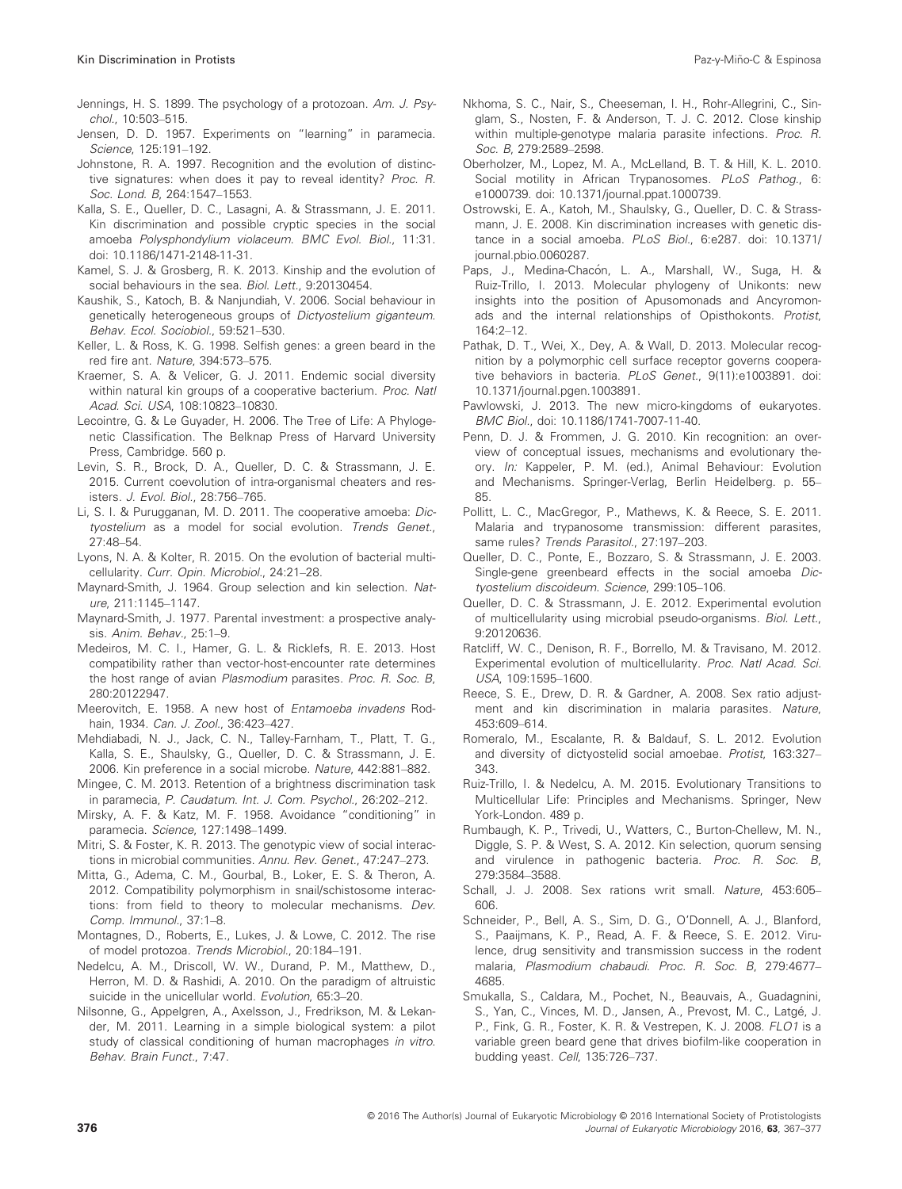- Jennings, H. S. 1899. The psychology of a protozoan. Am. J. Psychol., 10:503–515.
- Jensen, D. D. 1957. Experiments on "learning" in paramecia. Science, 125:191–192.
- Johnstone, R. A. 1997. Recognition and the evolution of distinctive signatures: when does it pay to reveal identity? Proc. R. Soc. Lond. B, 264:1547–1553.
- Kalla, S. E., Queller, D. C., Lasagni, A. & Strassmann, J. E. 2011. Kin discrimination and possible cryptic species in the social amoeba Polysphondylium violaceum. BMC Evol. Biol., 11:31. doi: [10.1186/1471-2148-11-31](http://dx.doi.org/10.1186/1471-2148-11-31).
- Kamel, S. J. & Grosberg, R. K. 2013. Kinship and the evolution of social behaviours in the sea. Biol. Lett., 9:20130454.
- Kaushik, S., Katoch, B. & Nanjundiah, V. 2006. Social behaviour in genetically heterogeneous groups of Dictyostelium giganteum. Behav. Ecol. Sociobiol., 59:521–530.
- Keller, L. & Ross, K. G. 1998. Selfish genes: a green beard in the red fire ant. Nature, 394:573–575.
- Kraemer, S. A. & Velicer, G. J. 2011. Endemic social diversity within natural kin groups of a cooperative bacterium. Proc. Natl Acad. Sci. USA, 108:10823–10830.
- Lecointre, G. & Le Guyader, H. 2006. The Tree of Life: A Phylogenetic Classification. The Belknap Press of Harvard University Press, Cambridge. 560 p.
- Levin, S. R., Brock, D. A., Queller, D. C. & Strassmann, J. E. 2015. Current coevolution of intra-organismal cheaters and resisters. J. Evol. Biol., 28:756–765.
- Li, S. I. & Purugganan, M. D. 2011. The cooperative amoeba: Dictyostelium as a model for social evolution. Trends Genet., 27:48–54.
- Lyons, N. A. & Kolter, R. 2015. On the evolution of bacterial multicellularity. Curr. Opin. Microbiol., 24:21–28.
- Maynard-Smith, J. 1964. Group selection and kin selection. Nature, 211:1145–1147.
- Maynard-Smith, J. 1977. Parental investment: a prospective analysis. Anim. Behav., 25:1–9.
- Medeiros, M. C. I., Hamer, G. L. & Ricklefs, R. E. 2013. Host compatibility rather than vector-host-encounter rate determines the host range of avian Plasmodium parasites. Proc. R. Soc. B, 280:20122947.
- Meerovitch, E. 1958. A new host of Entamoeba invadens Rodhain, 1934. Can. J. Zool., 36:423–427.
- Mehdiabadi, N. J., Jack, C. N., Talley-Farnham, T., Platt, T. G., Kalla, S. E., Shaulsky, G., Queller, D. C. & Strassmann, J. E. 2006. Kin preference in a social microbe. Nature, 442:881–882.
- Mingee, C. M. 2013. Retention of a brightness discrimination task in paramecia, P. Caudatum. Int. J. Com. Psychol., 26:202-212.
- Mirsky, A. F. & Katz, M. F. 1958. Avoidance "conditioning" in paramecia. Science, 127:1498–1499.
- Mitri, S. & Foster, K. R. 2013. The genotypic view of social interactions in microbial communities. Annu. Rev. Genet., 47:247–273.
- Mitta, G., Adema, C. M., Gourbal, B., Loker, E. S. & Theron, A. 2012. Compatibility polymorphism in snail/schistosome interactions: from field to theory to molecular mechanisms. Dev. Comp. Immunol., 37:1–8.
- Montagnes, D., Roberts, E., Lukes, J. & Lowe, C. 2012. The rise of model protozoa. Trends Microbiol., 20:184–191.
- Nedelcu, A. M., Driscoll, W. W., Durand, P. M., Matthew, D., Herron, M. D. & Rashidi, A. 2010. On the paradigm of altruistic suicide in the unicellular world. Evolution, 65:3–20.
- Nilsonne, G., Appelgren, A., Axelsson, J., Fredrikson, M. & Lekander, M. 2011. Learning in a simple biological system: a pilot study of classical conditioning of human macrophages in vitro. Behav. Brain Funct., 7:47.
- Nkhoma, S. C., Nair, S., Cheeseman, I. H., Rohr-Allegrini, C., Singlam, S., Nosten, F. & Anderson, T. J. C. 2012. Close kinship within multiple-genotype malaria parasite infections. Proc. R. Soc. B, 279:2589–2598.
- Oberholzer, M., Lopez, M. A., McLelland, B. T. & Hill, K. L. 2010. Social motility in African Trypanosomes. PLoS Pathog., 6: e1000739. doi: [10.1371/journal.ppat.1000739.](http://dx.doi.org/10.1371/journal.ppat.1000739)
- Ostrowski, E. A., Katoh, M., Shaulsky, G., Queller, D. C. & Strassmann, J. E. 2008. Kin discrimination increases with genetic dis-tance in a social amoeba. PLoS Biol., 6:e287. doi: [10.1371/](http://dx.doi.org/10.1371/journal.pbio.0060287) [journal.pbio.0060287](http://dx.doi.org/10.1371/journal.pbio.0060287).
- Paps, J., Medina-Chacón, L. A., Marshall, W., Suga, H. & Ruiz-Trillo, I. 2013. Molecular phylogeny of Unikonts: new insights into the position of Apusomonads and Ancyromonads and the internal relationships of Opisthokonts. Protist,  $164.2 - 12$
- Pathak, D. T., Wei, X., Dey, A. & Wall, D. 2013. Molecular recognition by a polymorphic cell surface receptor governs cooperative behaviors in bacteria. PLoS Genet., 9(11):e1003891. doi: [10.1371/journal.pgen.1003891.](http://dx.doi.org/10.1371/journal.pgen.1003891)
- Pawlowski, J. 2013. The new micro-kingdoms of eukaryotes. BMC Biol., doi: [10.1186/1741-7007-11-40](http://dx.doi.org/10.1186/1741-7007-11-40).
- Penn, D. J. & Frommen, J. G. 2010. Kin recognition: an overview of conceptual issues, mechanisms and evolutionary theory. In: Kappeler, P. M. (ed.), Animal Behaviour: Evolution and Mechanisms. Springer-Verlag, Berlin Heidelberg. p. 55– 85.
- Pollitt, L. C., MacGregor, P., Mathews, K. & Reece, S. E. 2011. Malaria and trypanosome transmission: different parasites, same rules? Trends Parasitol., 27:197-203.
- Queller, D. C., Ponte, E., Bozzaro, S. & Strassmann, J. E. 2003. Single-gene greenbeard effects in the social amoeba Dictyostelium discoideum. Science, 299:105–106.
- Queller, D. C. & Strassmann, J. E. 2012. Experimental evolution of multicellularity using microbial pseudo-organisms. Biol. Lett., 9:20120636.
- Ratcliff, W. C., Denison, R. F., Borrello, M. & Travisano, M. 2012. Experimental evolution of multicellularity. Proc. Natl Acad. Sci. USA, 109:1595–1600.
- Reece, S. E., Drew, D. R. & Gardner, A. 2008. Sex ratio adjustment and kin discrimination in malaria parasites. Nature, 453:609–614.
- Romeralo, M., Escalante, R. & Baldauf, S. L. 2012. Evolution and diversity of dictyostelid social amoebae. Protist, 163:327– 343.
- Ruiz-Trillo, I. & Nedelcu, A. M. 2015. Evolutionary Transitions to Multicellular Life: Principles and Mechanisms. Springer, New York-London. 489 p.
- Rumbaugh, K. P., Trivedi, U., Watters, C., Burton-Chellew, M. N., Diggle, S. P. & West, S. A. 2012. Kin selection, quorum sensing and virulence in pathogenic bacteria. Proc. R. Soc. B, 279:3584–3588.
- Schall, J. J. 2008. Sex rations writ small. Nature, 453:605– 606.
- Schneider, P., Bell, A. S., Sim, D. G., O'Donnell, A. J., Blanford, S., Paaijmans, K. P., Read, A. F. & Reece, S. E. 2012. Virulence, drug sensitivity and transmission success in the rodent malaria, Plasmodium chabaudi. Proc. R. Soc. B, 279:4677– 4685.
- Smukalla, S., Caldara, M., Pochet, N., Beauvais, A., Guadagnini, S., Yan, C., Vinces, M. D., Jansen, A., Prevost, M. C., Latgé, J. P., Fink, G. R., Foster, K. R. & Vestrepen, K. J. 2008. FLO1 is a variable green beard gene that drives biofilm-like cooperation in budding yeast. Cell, 135:726–737.